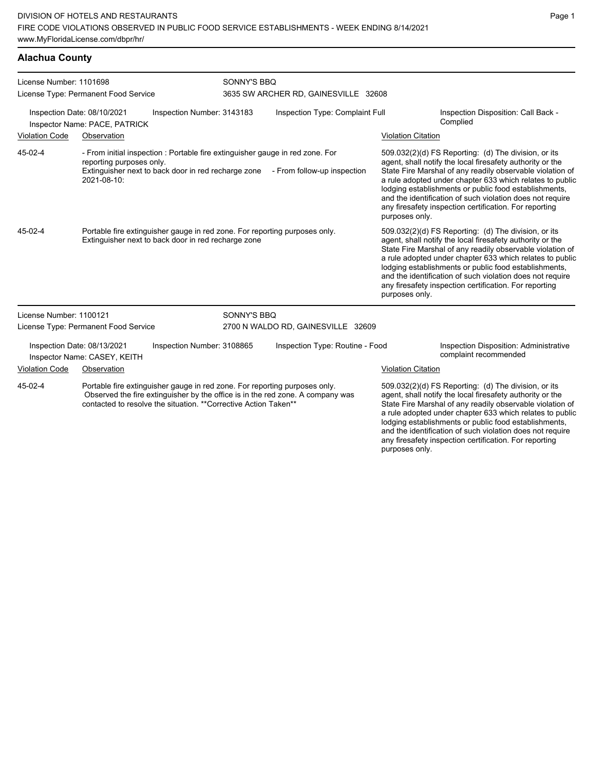## **Alachua County**

| License Number: 1101698<br>License Type: Permanent Food Service |                                                              |                                                                                                                                                | SONNY'S BBQ<br>3635 SW ARCHER RD, GAINESVILLE 32608 |                                                                                 |                           |                                                                                                                                                                                                                                                                                                                                                                                                                            |
|-----------------------------------------------------------------|--------------------------------------------------------------|------------------------------------------------------------------------------------------------------------------------------------------------|-----------------------------------------------------|---------------------------------------------------------------------------------|---------------------------|----------------------------------------------------------------------------------------------------------------------------------------------------------------------------------------------------------------------------------------------------------------------------------------------------------------------------------------------------------------------------------------------------------------------------|
|                                                                 | Inspection Date: 08/10/2021<br>Inspector Name: PACE, PATRICK | Inspection Number: 3143183                                                                                                                     |                                                     | Inspection Type: Complaint Full                                                 |                           | Inspection Disposition: Call Back -<br>Complied                                                                                                                                                                                                                                                                                                                                                                            |
| <b>Violation Code</b>                                           | Observation                                                  |                                                                                                                                                |                                                     |                                                                                 | <b>Violation Citation</b> |                                                                                                                                                                                                                                                                                                                                                                                                                            |
| 45-02-4                                                         | reporting purposes only.<br>2021-08-10:                      | - From initial inspection : Portable fire extinguisher gauge in red zone. For                                                                  |                                                     | Extinguisher next to back door in red recharge zone - From follow-up inspection | purposes only.            | 509.032(2)(d) FS Reporting: (d) The division, or its<br>agent, shall notify the local firesafety authority or the<br>State Fire Marshal of any readily observable violation of<br>a rule adopted under chapter 633 which relates to public<br>lodging establishments or public food establishments,<br>and the identification of such violation does not require<br>any firesafety inspection certification. For reporting |
| 45-02-4                                                         |                                                              | Portable fire extinguisher gauge in red zone. For reporting purposes only.<br>Extinguisher next to back door in red recharge zone              |                                                     |                                                                                 | purposes only.            | 509.032(2)(d) FS Reporting: (d) The division, or its<br>agent, shall notify the local firesafety authority or the<br>State Fire Marshal of any readily observable violation of<br>a rule adopted under chapter 633 which relates to public<br>lodging establishments or public food establishments,<br>and the identification of such violation does not require<br>any firesafety inspection certification. For reporting |
| License Number: 1100121                                         |                                                              |                                                                                                                                                | SONNY'S BBQ                                         |                                                                                 |                           |                                                                                                                                                                                                                                                                                                                                                                                                                            |
|                                                                 | License Type: Permanent Food Service                         |                                                                                                                                                | 2700 N WALDO RD, GAINESVILLE 32609                  |                                                                                 |                           |                                                                                                                                                                                                                                                                                                                                                                                                                            |
| Inspection Date: 08/13/2021<br>Inspector Name: CASEY, KEITH     |                                                              | Inspection Number: 3108865                                                                                                                     |                                                     | Inspection Type: Routine - Food                                                 |                           | Inspection Disposition: Administrative<br>complaint recommended                                                                                                                                                                                                                                                                                                                                                            |
| <b>Violation Code</b><br>Observation                            |                                                              |                                                                                                                                                |                                                     |                                                                                 | <b>Violation Citation</b> |                                                                                                                                                                                                                                                                                                                                                                                                                            |
| 45-02-4                                                         |                                                              | Portable fire extinguisher gauge in red zone. For reporting purposes only.<br>contacted to resolve the situation. ** Corrective Action Taken** |                                                     | Observed the fire extinguisher by the office is in the red zone. A company was  |                           | 509.032(2)(d) FS Reporting: (d) The division, or its<br>agent, shall notify the local firesafety authority or the<br>State Fire Marshal of any readily observable violation of<br>a rule adopted under chapter 633 which relates to public<br>lodging establishments or public food establishments,<br>and the identification of such violation does not require<br>any firesafety inspection certification. For reporting |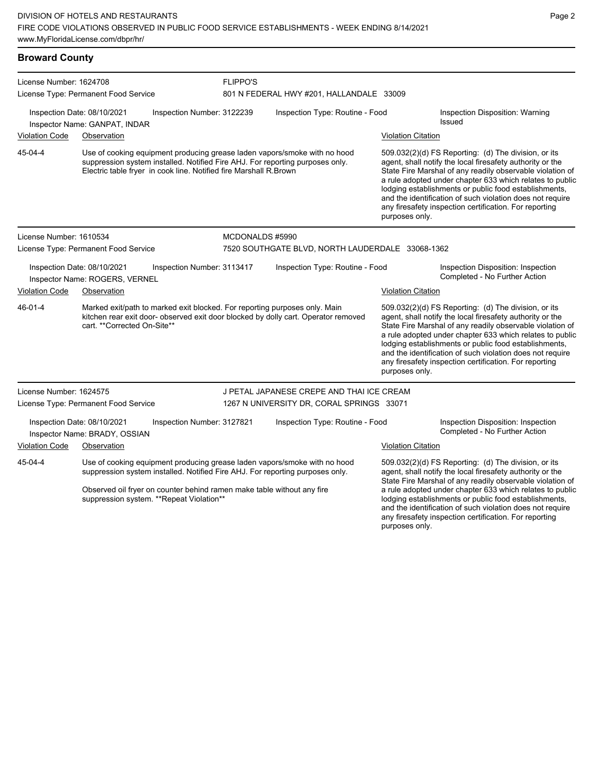| <b>Broward County</b>                                                                                               |                                                               |                                                                   |                                                  |                                                                                                                                                                                |                                                                                                                                                                                |                                                                                                                                                                                                                                                                                                                                                                                                                            |  |
|---------------------------------------------------------------------------------------------------------------------|---------------------------------------------------------------|-------------------------------------------------------------------|--------------------------------------------------|--------------------------------------------------------------------------------------------------------------------------------------------------------------------------------|--------------------------------------------------------------------------------------------------------------------------------------------------------------------------------|----------------------------------------------------------------------------------------------------------------------------------------------------------------------------------------------------------------------------------------------------------------------------------------------------------------------------------------------------------------------------------------------------------------------------|--|
| License Number: 1624708                                                                                             |                                                               |                                                                   | <b>FLIPPO'S</b>                                  |                                                                                                                                                                                |                                                                                                                                                                                |                                                                                                                                                                                                                                                                                                                                                                                                                            |  |
|                                                                                                                     | License Type: Permanent Food Service                          |                                                                   |                                                  | 801 N FEDERAL HWY #201, HALLANDALE 33009                                                                                                                                       |                                                                                                                                                                                |                                                                                                                                                                                                                                                                                                                                                                                                                            |  |
|                                                                                                                     | Inspection Date: 08/10/2021<br>Inspector Name: GANPAT, INDAR  | Inspection Number: 3122239                                        |                                                  | Inspection Type: Routine - Food                                                                                                                                                |                                                                                                                                                                                | Inspection Disposition: Warning<br>Issued                                                                                                                                                                                                                                                                                                                                                                                  |  |
| <b>Violation Code</b>                                                                                               | Observation                                                   |                                                                   |                                                  |                                                                                                                                                                                | <b>Violation Citation</b>                                                                                                                                                      |                                                                                                                                                                                                                                                                                                                                                                                                                            |  |
| 45-04-4                                                                                                             |                                                               | Electric table fryer in cook line. Notified fire Marshall R.Brown |                                                  | Use of cooking equipment producing grease laden vapors/smoke with no hood<br>suppression system installed. Notified Fire AHJ. For reporting purposes only.                     | purposes only.                                                                                                                                                                 | 509.032(2)(d) FS Reporting: (d) The division, or its<br>agent, shall notify the local firesafety authority or the<br>State Fire Marshal of any readily observable violation of<br>a rule adopted under chapter 633 which relates to public<br>lodging establishments or public food establishments,<br>and the identification of such violation does not require<br>any firesafety inspection certification. For reporting |  |
| License Number: 1610534                                                                                             |                                                               |                                                                   | MCDONALDS #5990                                  |                                                                                                                                                                                |                                                                                                                                                                                |                                                                                                                                                                                                                                                                                                                                                                                                                            |  |
|                                                                                                                     | License Type: Permanent Food Service                          |                                                                   | 7520 SOUTHGATE BLVD, NORTH LAUDERDALE 33068-1362 |                                                                                                                                                                                |                                                                                                                                                                                |                                                                                                                                                                                                                                                                                                                                                                                                                            |  |
|                                                                                                                     | Inspection Date: 08/10/2021<br>Inspector Name: ROGERS, VERNEL | Inspection Number: 3113417                                        |                                                  | Inspection Type: Routine - Food                                                                                                                                                |                                                                                                                                                                                | Inspection Disposition: Inspection<br>Completed - No Further Action                                                                                                                                                                                                                                                                                                                                                        |  |
| <b>Violation Code</b>                                                                                               | Observation                                                   |                                                                   |                                                  |                                                                                                                                                                                | <b>Violation Citation</b>                                                                                                                                                      |                                                                                                                                                                                                                                                                                                                                                                                                                            |  |
| 46-01-4                                                                                                             | cart. **Corrected On-Site**                                   |                                                                   |                                                  | Marked exit/path to marked exit blocked. For reporting purposes only. Main<br>kitchen rear exit door- observed exit door blocked by dolly cart. Operator removed               | purposes only.                                                                                                                                                                 | 509.032(2)(d) FS Reporting: (d) The division, or its<br>agent, shall notify the local firesafety authority or the<br>State Fire Marshal of any readily observable violation of<br>a rule adopted under chapter 633 which relates to public<br>lodging establishments or public food establishments,<br>and the identification of such violation does not require<br>any firesafety inspection certification. For reporting |  |
| License Number: 1624575                                                                                             |                                                               |                                                                   |                                                  | J PETAL JAPANESE CREPE AND THAI ICE CREAM                                                                                                                                      |                                                                                                                                                                                |                                                                                                                                                                                                                                                                                                                                                                                                                            |  |
|                                                                                                                     | License Type: Permanent Food Service                          |                                                                   |                                                  | 1267 N UNIVERSITY DR, CORAL SPRINGS 33071                                                                                                                                      |                                                                                                                                                                                |                                                                                                                                                                                                                                                                                                                                                                                                                            |  |
|                                                                                                                     | Inspection Date: 08/10/2021<br>Inspector Name: BRADY, OSSIAN  | Inspection Number: 3127821                                        |                                                  | Inspection Type: Routine - Food                                                                                                                                                |                                                                                                                                                                                | Inspection Disposition: Inspection<br>Completed - No Further Action                                                                                                                                                                                                                                                                                                                                                        |  |
| <b>Violation Code</b>                                                                                               | Observation                                                   |                                                                   |                                                  |                                                                                                                                                                                | <b>Violation Citation</b>                                                                                                                                                      |                                                                                                                                                                                                                                                                                                                                                                                                                            |  |
| 45-04-4                                                                                                             |                                                               |                                                                   |                                                  | Use of cooking equipment producing grease laden vapors/smoke with no hood<br>suppression system installed. Notified Fire AHJ. For reporting purposes only.                     | 509.032(2)(d) FS Reporting: (d) The division, or its<br>agent, shall notify the local firesafety authority or the<br>State Fire Marshal of any readily observable violation of |                                                                                                                                                                                                                                                                                                                                                                                                                            |  |
| Observed oil fryer on counter behind ramen make table without any fire<br>suppression system. ** Repeat Violation** |                                                               |                                                                   |                                                  | a rule adopted under chapter 633 which relates to public<br>lodging establishments or public food establishments,<br>and the identification of such violation does not require |                                                                                                                                                                                |                                                                                                                                                                                                                                                                                                                                                                                                                            |  |

Page 2

any firesafety inspection certification. For reporting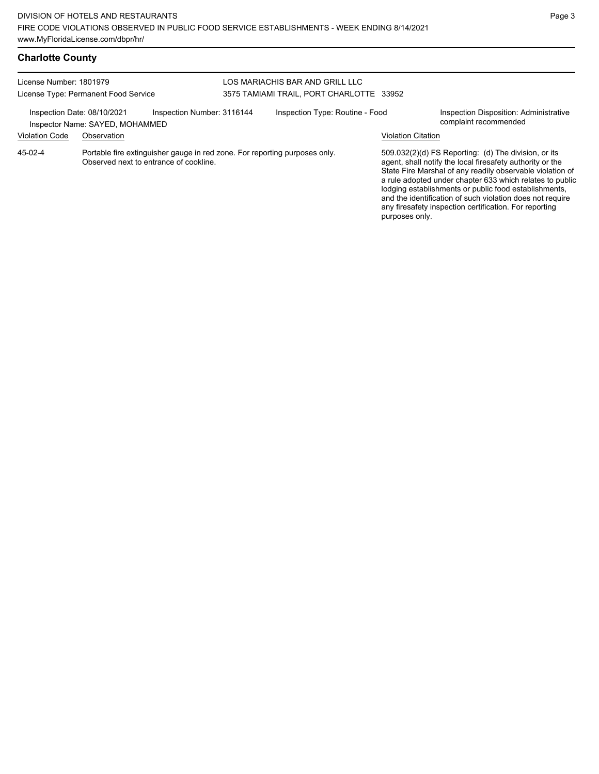| <b>Charlotte County</b> |  |
|-------------------------|--|
|-------------------------|--|

| License Number: 1801979<br>License Type: Permanent Food Service |                                                |                                                                            | LOS MARIACHIS BAR AND GRILL LLC<br>3575 TAMIAMI TRAIL, PORT CHARLOTTE 33952 |                                 |                    |                                                                                                                                                                                                                                                                                                                                                                                                                            |
|-----------------------------------------------------------------|------------------------------------------------|----------------------------------------------------------------------------|-----------------------------------------------------------------------------|---------------------------------|--------------------|----------------------------------------------------------------------------------------------------------------------------------------------------------------------------------------------------------------------------------------------------------------------------------------------------------------------------------------------------------------------------------------------------------------------------|
| Inspection Date: 08/10/2021<br><b>Violation Code</b>            | Inspector Name: SAYED, MOHAMMED<br>Observation | Inspection Number: 3116144                                                 |                                                                             | Inspection Type: Routine - Food | Violation Citation | Inspection Disposition: Administrative<br>complaint recommended                                                                                                                                                                                                                                                                                                                                                            |
| 45-02-4                                                         | Observed next to entrance of cookline.         | Portable fire extinguisher gauge in red zone. For reporting purposes only. |                                                                             |                                 | purposes only.     | 509.032(2)(d) FS Reporting: (d) The division, or its<br>agent, shall notify the local firesafety authority or the<br>State Fire Marshal of any readily observable violation of<br>a rule adopted under chapter 633 which relates to public<br>lodging establishments or public food establishments,<br>and the identification of such violation does not require<br>any firesafety inspection certification. For reporting |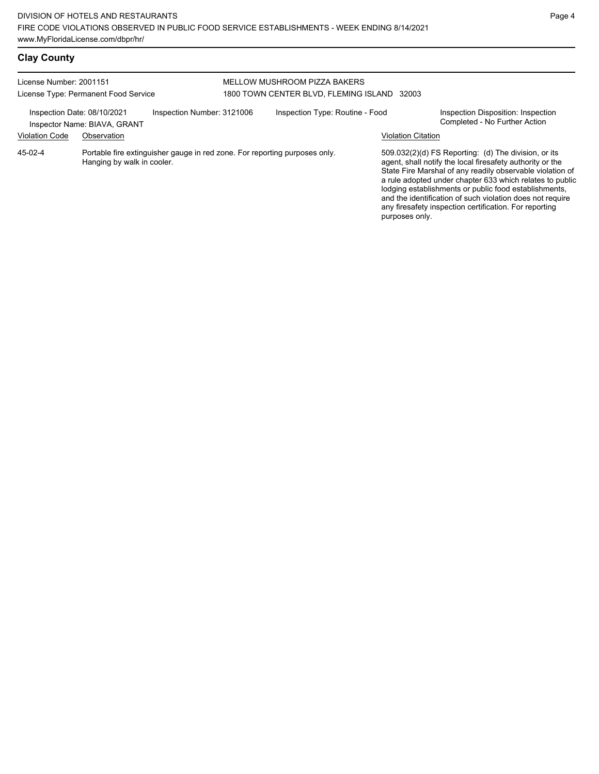#### License Number: 2001151 License Type: Permanent Food Service MELLOW MUSHROOM PIZZA BAKERS 1800 TOWN CENTER BLVD, FLEMING ISLAND 32003 Inspection Date: 08/10/2021 Inspection Number: 3121006 Inspection Type: Routine - Food Inspection Disposition: Inspection<br>Inspector Name: BIAVA GRANT Inspector Name: BIAVA, GRANT Violation Code Observation Violation Citation Portable fire extinguisher gauge in red zone. For reporting purposes only. Hanging by walk in cooler. 509.032(2)(d) FS Reporting: (d) The division, or its agent, shall notify the local firesafety authority or the State Fire Marshal of any readily observable violation of a rule adopted under chapter 633 which relates to public lodging establishments or public food establishments, and the identification of such violation does not require any firesafety inspection certification. For reporting purposes only. 45-02-4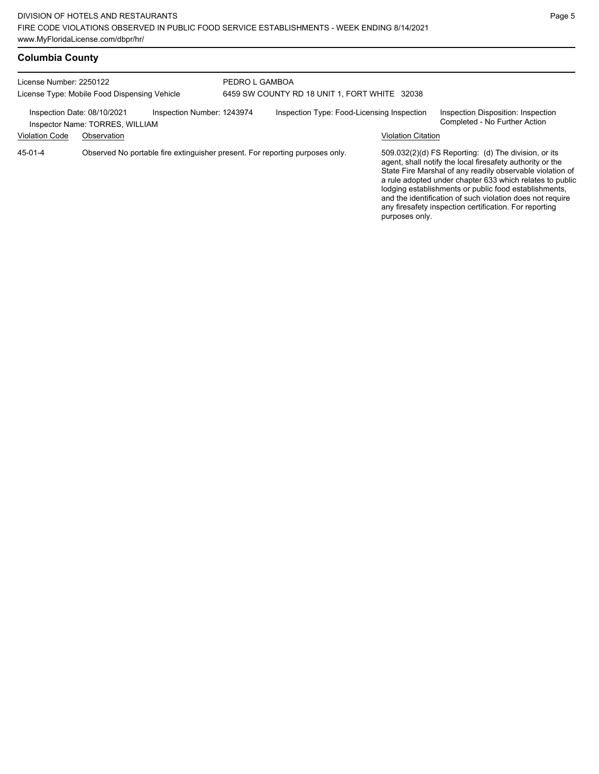## **Columbia County**

| License Number: 2250122<br>License Type: Mobile Food Dispensing Vehicle                      |             |                                            | PEDRO L GAMBOA<br>6459 SW COUNTY RD 18 UNIT 1, FORT WHITE 32038 |                                                                              |                                                                     |                                                                                                                                                                                                                                                                                                                                                                                                                            |  |
|----------------------------------------------------------------------------------------------|-------------|--------------------------------------------|-----------------------------------------------------------------|------------------------------------------------------------------------------|---------------------------------------------------------------------|----------------------------------------------------------------------------------------------------------------------------------------------------------------------------------------------------------------------------------------------------------------------------------------------------------------------------------------------------------------------------------------------------------------------------|--|
| Inspection Date: 08/10/2021<br>Inspection Number: 1243974<br>Inspector Name: TORRES, WILLIAM |             | Inspection Type: Food-Licensing Inspection |                                                                 |                                                                              | Inspection Disposition: Inspection<br>Completed - No Further Action |                                                                                                                                                                                                                                                                                                                                                                                                                            |  |
| <b>Violation Code</b>                                                                        | Observation |                                            |                                                                 |                                                                              | <b>Violation Citation</b>                                           |                                                                                                                                                                                                                                                                                                                                                                                                                            |  |
| 45-01-4                                                                                      |             |                                            |                                                                 | Observed No portable fire extinguisher present. For reporting purposes only. | purposes only.                                                      | 509.032(2)(d) FS Reporting: (d) The division, or its<br>agent, shall notify the local firesafety authority or the<br>State Fire Marshal of any readily observable violation of<br>a rule adopted under chapter 633 which relates to public<br>lodging establishments or public food establishments,<br>and the identification of such violation does not require<br>any firesafety inspection certification. For reporting |  |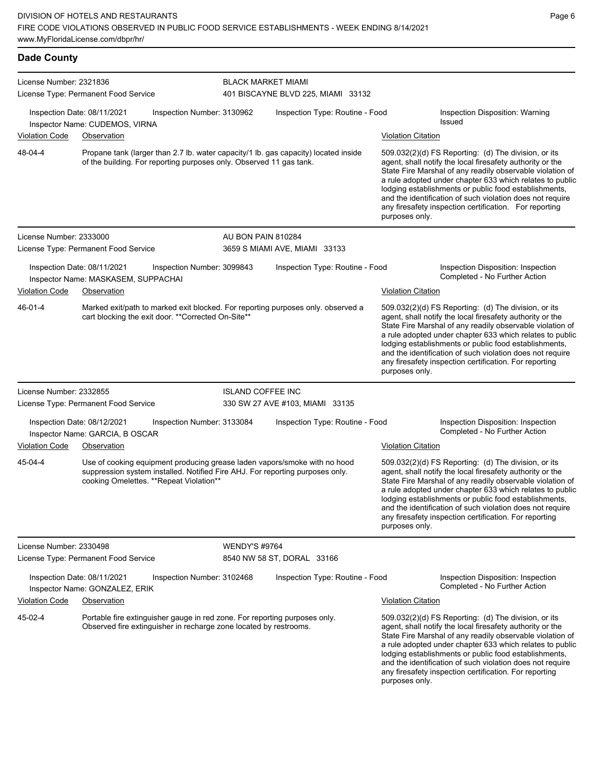| <b>Dade County</b>      |                                                                                                                                                                                                        |                           |                                    |                           |                                                                                                                                                                                                                                                                                                                                                                                                                            |
|-------------------------|--------------------------------------------------------------------------------------------------------------------------------------------------------------------------------------------------------|---------------------------|------------------------------------|---------------------------|----------------------------------------------------------------------------------------------------------------------------------------------------------------------------------------------------------------------------------------------------------------------------------------------------------------------------------------------------------------------------------------------------------------------------|
| License Number: 2321836 | License Type: Permanent Food Service                                                                                                                                                                   | <b>BLACK MARKET MIAMI</b> | 401 BISCAYNE BLVD 225, MIAMI 33132 |                           |                                                                                                                                                                                                                                                                                                                                                                                                                            |
|                         | Inspection Date: 08/11/2021<br>Inspection Number: 3130962<br>Inspector Name: CUDEMOS, VIRNA                                                                                                            |                           | Inspection Type: Routine - Food    |                           | Inspection Disposition: Warning<br>Issued                                                                                                                                                                                                                                                                                                                                                                                  |
| Violation Code          | Observation                                                                                                                                                                                            |                           |                                    | <b>Violation Citation</b> |                                                                                                                                                                                                                                                                                                                                                                                                                            |
| 48-04-4                 | Propane tank (larger than 2.7 lb. water capacity/1 lb. gas capacity) located inside<br>of the building. For reporting purposes only. Observed 11 gas tank.                                             |                           |                                    | purposes only.            | 509.032(2)(d) FS Reporting: (d) The division, or its<br>agent, shall notify the local firesafety authority or the<br>State Fire Marshal of any readily observable violation of<br>a rule adopted under chapter 633 which relates to public<br>lodging establishments or public food establishments,<br>and the identification of such violation does not require<br>any firesafety inspection certification. For reporting |
| License Number: 2333000 |                                                                                                                                                                                                        | <b>AU BON PAIN 810284</b> |                                    |                           |                                                                                                                                                                                                                                                                                                                                                                                                                            |
|                         | License Type: Permanent Food Service                                                                                                                                                                   |                           | 3659 S MIAMI AVE, MIAMI 33133      |                           |                                                                                                                                                                                                                                                                                                                                                                                                                            |
|                         | Inspection Date: 08/11/2021<br>Inspection Number: 3099843<br>Inspector Name: MASKASEM, SUPPACHAI                                                                                                       |                           | Inspection Type: Routine - Food    |                           | Inspection Disposition: Inspection<br>Completed - No Further Action                                                                                                                                                                                                                                                                                                                                                        |
| <b>Violation Code</b>   | Observation                                                                                                                                                                                            |                           |                                    | <b>Violation Citation</b> |                                                                                                                                                                                                                                                                                                                                                                                                                            |
| 46-01-4                 | Marked exit/path to marked exit blocked. For reporting purposes only, observed a<br>cart blocking the exit door. ** Corrected On-Site**                                                                |                           |                                    | purposes only.            | 509.032(2)(d) FS Reporting: (d) The division, or its<br>agent, shall notify the local firesafety authority or the<br>State Fire Marshal of any readily observable violation of<br>a rule adopted under chapter 633 which relates to public<br>lodging establishments or public food establishments,<br>and the identification of such violation does not require<br>any firesafety inspection certification. For reporting |
| License Number: 2332855 |                                                                                                                                                                                                        | <b>ISLAND COFFEE INC</b>  |                                    |                           |                                                                                                                                                                                                                                                                                                                                                                                                                            |
|                         | License Type: Permanent Food Service                                                                                                                                                                   |                           | 330 SW 27 AVE #103, MIAMI 33135    |                           |                                                                                                                                                                                                                                                                                                                                                                                                                            |
|                         | Inspection Date: 08/12/2021<br>Inspection Number: 3133084<br>Inspector Name: GARCIA, B OSCAR                                                                                                           |                           | Inspection Type: Routine - Food    |                           | Inspection Disposition: Inspection<br>Completed - No Further Action                                                                                                                                                                                                                                                                                                                                                        |
| <b>Violation Code</b>   | Observation                                                                                                                                                                                            |                           |                                    | <b>Violation Citation</b> |                                                                                                                                                                                                                                                                                                                                                                                                                            |
| 45-04-4                 | Use of cooking equipment producing grease laden vapors/smoke with no hood<br>suppression system installed. Notified Fire AHJ. For reporting purposes only.<br>cooking Omelettes. ** Repeat Violation** |                           |                                    | purposes only.            | 509.032(2)(d) FS Reporting: (d) The division, or its<br>agent, shall notify the local firesafety authority or the<br>State Fire Marshal of any readily observable violation of<br>a rule adopted under chapter 633 which relates to public<br>lodging establishments or public food establishments,<br>and the identification of such violation does not require<br>any firesafety inspection certification. For reporting |
| License Number: 2330498 |                                                                                                                                                                                                        | <b>WENDY'S #9764</b>      |                                    |                           |                                                                                                                                                                                                                                                                                                                                                                                                                            |
|                         | License Type: Permanent Food Service                                                                                                                                                                   |                           | 8540 NW 58 ST, DORAL 33166         |                           |                                                                                                                                                                                                                                                                                                                                                                                                                            |
|                         | Inspection Date: 08/11/2021<br>Inspection Number: 3102468<br>Inspector Name: GONZALEZ, ERIK                                                                                                            |                           | Inspection Type: Routine - Food    |                           | Inspection Disposition: Inspection<br>Completed - No Further Action                                                                                                                                                                                                                                                                                                                                                        |
| <b>Violation Code</b>   | Observation                                                                                                                                                                                            |                           |                                    | <b>Violation Citation</b> |                                                                                                                                                                                                                                                                                                                                                                                                                            |
| 45-02-4                 | Portable fire extinguisher gauge in red zone. For reporting purposes only.<br>Observed fire extinguisher in recharge zone located by restrooms.                                                        |                           |                                    |                           | 509.032(2)(d) FS Reporting: (d) The division, or its<br>agent, shall notify the local firesafety authority or the<br>State Fire Marshal of any readily observable violation of<br>a rule adopted under chapter 633 which relates to public<br>lodging establishments or public food establishments,                                                                                                                        |

and the identification of such violation does not require any firesafety inspection certification. For reporting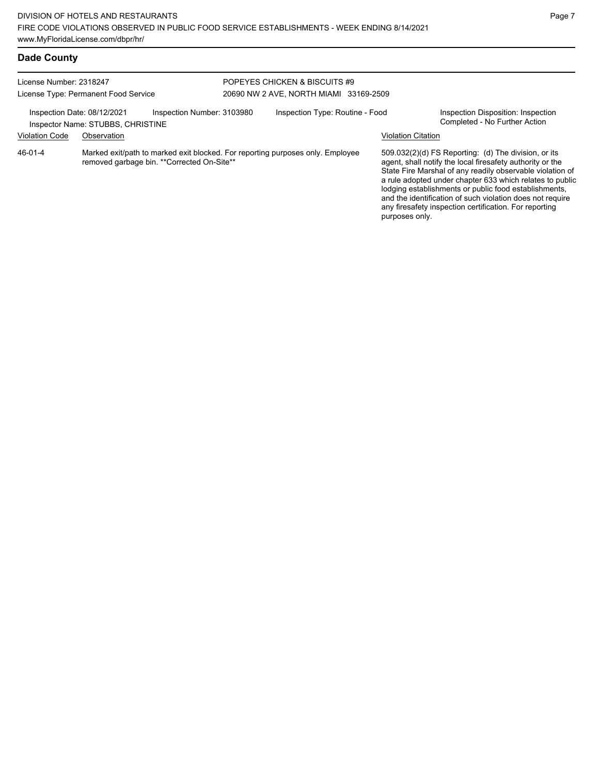|  | <b>Dade County</b> |
|--|--------------------|
|--|--------------------|

| License Number: 2318247<br>License Type: Permanent Food Service |                                                  |                                             | POPEYES CHICKEN & BISCUITS #9<br>20690 NW 2 AVE, NORTH MIAMI 33169-2509 |                                                                                |                    |                                                                                                                                                                                                                                                                                                                                                                                                                            |  |
|-----------------------------------------------------------------|--------------------------------------------------|---------------------------------------------|-------------------------------------------------------------------------|--------------------------------------------------------------------------------|--------------------|----------------------------------------------------------------------------------------------------------------------------------------------------------------------------------------------------------------------------------------------------------------------------------------------------------------------------------------------------------------------------------------------------------------------------|--|
| Inspection Date: 08/12/2021<br><b>Violation Code</b>            | Inspector Name: STUBBS, CHRISTINE<br>Observation | Inspection Number: 3103980                  |                                                                         | Inspection Type: Routine - Food                                                | Violation Citation | Inspection Disposition: Inspection<br>Completed - No Further Action                                                                                                                                                                                                                                                                                                                                                        |  |
| 46-01-4                                                         |                                                  | removed garbage bin. ** Corrected On-Site** |                                                                         | Marked exit/path to marked exit blocked. For reporting purposes only. Employee | purposes only.     | 509.032(2)(d) FS Reporting: (d) The division, or its<br>agent, shall notify the local firesafety authority or the<br>State Fire Marshal of any readily observable violation of<br>a rule adopted under chapter 633 which relates to public<br>lodging establishments or public food establishments,<br>and the identification of such violation does not require<br>any firesafety inspection certification. For reporting |  |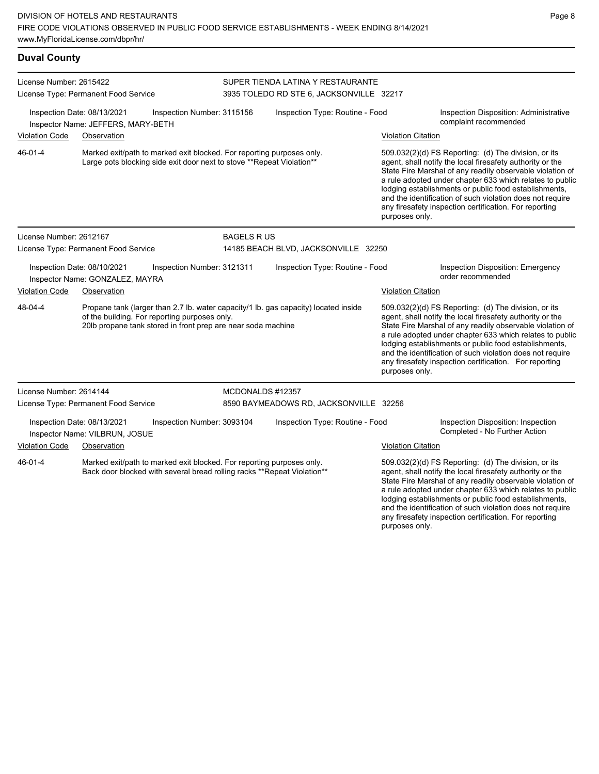| <b>Duval County</b>                                                                                                                                          |                                                                                                                                                 |                            |                                      |                                                                                     |                                                                                                                                                                                                                                                                                                     |                                                                                                                                                                                                                                                                                                                                                                                                                                                |  |  |
|--------------------------------------------------------------------------------------------------------------------------------------------------------------|-------------------------------------------------------------------------------------------------------------------------------------------------|----------------------------|--------------------------------------|-------------------------------------------------------------------------------------|-----------------------------------------------------------------------------------------------------------------------------------------------------------------------------------------------------------------------------------------------------------------------------------------------------|------------------------------------------------------------------------------------------------------------------------------------------------------------------------------------------------------------------------------------------------------------------------------------------------------------------------------------------------------------------------------------------------------------------------------------------------|--|--|
| License Number: 2615422                                                                                                                                      |                                                                                                                                                 |                            |                                      | SUPER TIENDA LATINA Y RESTAURANTE                                                   |                                                                                                                                                                                                                                                                                                     |                                                                                                                                                                                                                                                                                                                                                                                                                                                |  |  |
|                                                                                                                                                              | License Type: Permanent Food Service                                                                                                            |                            |                                      | 3935 TOLEDO RD STE 6, JACKSONVILLE 32217                                            |                                                                                                                                                                                                                                                                                                     |                                                                                                                                                                                                                                                                                                                                                                                                                                                |  |  |
|                                                                                                                                                              | Inspection Date: 08/13/2021<br>Inspector Name: JEFFERS, MARY-BETH                                                                               | Inspection Number: 3115156 | Inspection Type: Routine - Food      |                                                                                     |                                                                                                                                                                                                                                                                                                     | Inspection Disposition: Administrative<br>complaint recommended                                                                                                                                                                                                                                                                                                                                                                                |  |  |
| <b>Violation Code</b>                                                                                                                                        | Observation                                                                                                                                     |                            |                                      |                                                                                     | <b>Violation Citation</b>                                                                                                                                                                                                                                                                           |                                                                                                                                                                                                                                                                                                                                                                                                                                                |  |  |
| 46-01-4                                                                                                                                                      | Marked exit/path to marked exit blocked. For reporting purposes only.<br>Large pots blocking side exit door next to stove ** Repeat Violation** |                            |                                      |                                                                                     | purposes only.                                                                                                                                                                                                                                                                                      | 509.032(2)(d) FS Reporting: (d) The division, or its<br>agent, shall notify the local firesafety authority or the<br>State Fire Marshal of any readily observable violation of<br>a rule adopted under chapter 633 which relates to public<br>lodging establishments or public food establishments,<br>and the identification of such violation does not require<br>any firesafety inspection certification. For reporting                     |  |  |
| License Number: 2612167                                                                                                                                      |                                                                                                                                                 |                            | <b>BAGELS RUS</b>                    |                                                                                     |                                                                                                                                                                                                                                                                                                     |                                                                                                                                                                                                                                                                                                                                                                                                                                                |  |  |
|                                                                                                                                                              | License Type: Permanent Food Service                                                                                                            |                            | 14185 BEACH BLVD, JACKSONVILLE 32250 |                                                                                     |                                                                                                                                                                                                                                                                                                     |                                                                                                                                                                                                                                                                                                                                                                                                                                                |  |  |
|                                                                                                                                                              | Inspection Date: 08/10/2021<br>Inspector Name: GONZALEZ, MAYRA                                                                                  | Inspection Number: 3121311 |                                      | Inspection Type: Routine - Food                                                     |                                                                                                                                                                                                                                                                                                     | <b>Inspection Disposition: Emergency</b><br>order recommended                                                                                                                                                                                                                                                                                                                                                                                  |  |  |
| <b>Violation Code</b>                                                                                                                                        | Observation                                                                                                                                     |                            |                                      |                                                                                     | <b>Violation Citation</b>                                                                                                                                                                                                                                                                           |                                                                                                                                                                                                                                                                                                                                                                                                                                                |  |  |
| 48-04-4                                                                                                                                                      | of the building. For reporting purposes only.<br>20lb propane tank stored in front prep are near soda machine                                   |                            |                                      | Propane tank (larger than 2.7 lb. water capacity/1 lb. gas capacity) located inside |                                                                                                                                                                                                                                                                                                     | $509.032(2)(d)$ FS Reporting: (d) The division, or its<br>agent, shall notify the local firesafety authority or the<br>State Fire Marshal of any readily observable violation of<br>a rule adopted under chapter 633 which relates to public<br>lodging establishments or public food establishments,<br>and the identification of such violation does not require<br>any firesafety inspection certification. For reporting<br>purposes only. |  |  |
| License Number: 2614144                                                                                                                                      |                                                                                                                                                 |                            | MCDONALDS #12357                     |                                                                                     |                                                                                                                                                                                                                                                                                                     |                                                                                                                                                                                                                                                                                                                                                                                                                                                |  |  |
|                                                                                                                                                              | License Type: Permanent Food Service                                                                                                            |                            |                                      | 8590 BAYMEADOWS RD, JACKSONVILLE 32256                                              |                                                                                                                                                                                                                                                                                                     |                                                                                                                                                                                                                                                                                                                                                                                                                                                |  |  |
| Inspection Date: 08/13/2021<br>Inspection Number: 3093104<br>Inspector Name: VILBRUN, JOSUE                                                                  |                                                                                                                                                 |                            | Inspection Type: Routine - Food      |                                                                                     | Inspection Disposition: Inspection<br>Completed - No Further Action                                                                                                                                                                                                                                 |                                                                                                                                                                                                                                                                                                                                                                                                                                                |  |  |
| <b>Violation Code</b>                                                                                                                                        | Observation                                                                                                                                     |                            |                                      |                                                                                     | <b>Violation Citation</b>                                                                                                                                                                                                                                                                           |                                                                                                                                                                                                                                                                                                                                                                                                                                                |  |  |
| 46-01-4<br>Marked exit/path to marked exit blocked. For reporting purposes only.<br>Back door blocked with several bread rolling racks ** Repeat Violation** |                                                                                                                                                 |                            |                                      |                                                                                     | 509.032(2)(d) FS Reporting: (d) The division, or its<br>agent, shall notify the local firesafety authority or the<br>State Fire Marshal of any readily observable violation of<br>a rule adopted under chapter 633 which relates to public<br>lodging establishments or public food establishments, |                                                                                                                                                                                                                                                                                                                                                                                                                                                |  |  |

and the identification of such violation does not require any firesafety inspection certification. For reporting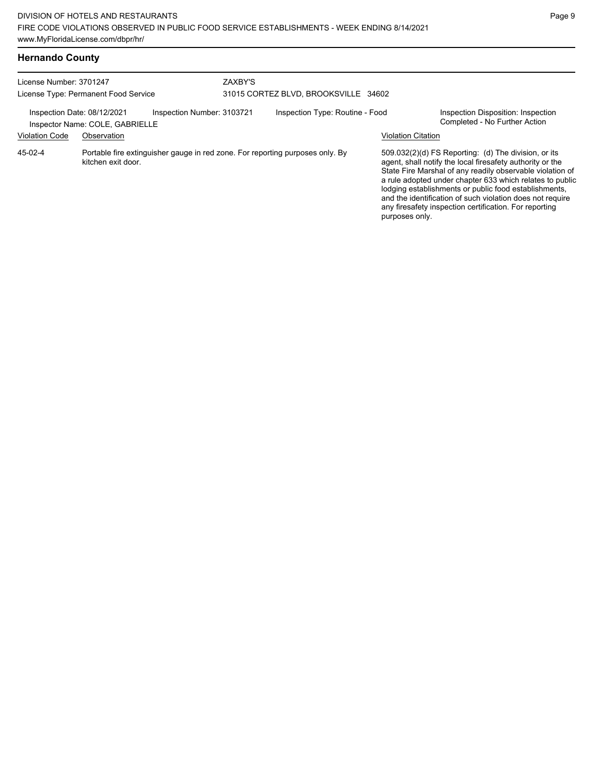| <b>Hernando County</b> |  |
|------------------------|--|
|------------------------|--|

| License Number: 3701247                              | License Type: Permanent Food Service                                                                | ZAXBY'S<br>31015 CORTEZ BLVD, BROOKSVILLE 34602 |                           |                                                                                                                                                                                                                                                                                                                                                                                                                            |  |
|------------------------------------------------------|-----------------------------------------------------------------------------------------------------|-------------------------------------------------|---------------------------|----------------------------------------------------------------------------------------------------------------------------------------------------------------------------------------------------------------------------------------------------------------------------------------------------------------------------------------------------------------------------------------------------------------------------|--|
| Inspection Date: 08/12/2021<br><b>Violation Code</b> | Inspection Number: 3103721<br>Inspector Name: COLE, GABRIELLE<br>Observation                        | Inspection Type: Routine - Food                 | <b>Violation Citation</b> | Inspection Disposition: Inspection<br>Completed - No Further Action                                                                                                                                                                                                                                                                                                                                                        |  |
| 45-02-4                                              | Portable fire extinguisher gauge in red zone. For reporting purposes only. By<br>kitchen exit door. |                                                 | purposes only.            | 509.032(2)(d) FS Reporting: (d) The division, or its<br>agent, shall notify the local firesafety authority or the<br>State Fire Marshal of any readily observable violation of<br>a rule adopted under chapter 633 which relates to public<br>lodging establishments or public food establishments,<br>and the identification of such violation does not require<br>any firesafety inspection certification. For reporting |  |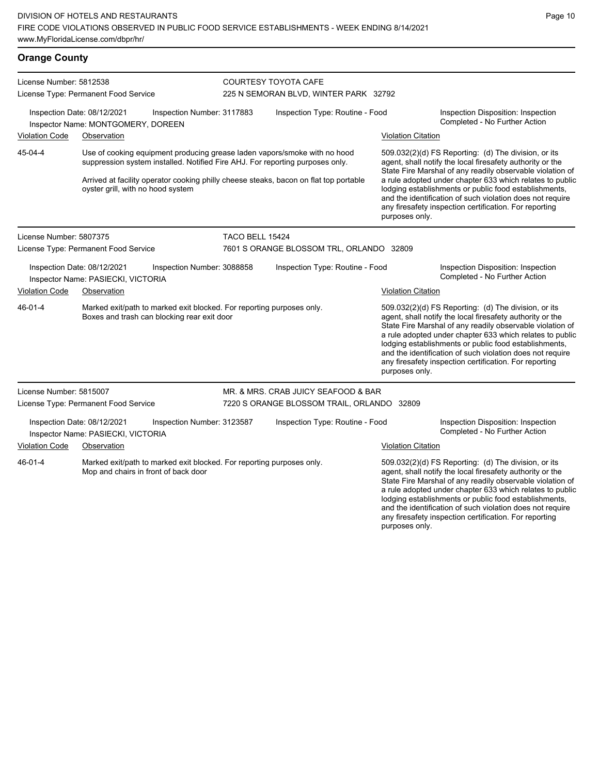| <b>Orange County</b>                                                                                                             |                                                                                                                                     |                                                              |                                                                                   |                                                                                                                                                                                                                                                                                                                                                                  |                                                                                                                                                                                                                                                                                                                                                                                                                                              |                                                                                                  |
|----------------------------------------------------------------------------------------------------------------------------------|-------------------------------------------------------------------------------------------------------------------------------------|--------------------------------------------------------------|-----------------------------------------------------------------------------------|------------------------------------------------------------------------------------------------------------------------------------------------------------------------------------------------------------------------------------------------------------------------------------------------------------------------------------------------------------------|----------------------------------------------------------------------------------------------------------------------------------------------------------------------------------------------------------------------------------------------------------------------------------------------------------------------------------------------------------------------------------------------------------------------------------------------|--------------------------------------------------------------------------------------------------|
| License Number: 5812538<br>License Type: Permanent Food Service                                                                  |                                                                                                                                     |                                                              | <b>COURTESY TOYOTA CAFE</b><br>225 N SEMORAN BLVD, WINTER PARK 32792              |                                                                                                                                                                                                                                                                                                                                                                  |                                                                                                                                                                                                                                                                                                                                                                                                                                              |                                                                                                  |
| Violation Code                                                                                                                   | Inspection Date: 08/12/2021<br>Inspector Name: MONTGOMERY, DOREEN<br>Observation                                                    | Inspection Number: 3117883                                   |                                                                                   | Inspection Type: Routine - Food                                                                                                                                                                                                                                                                                                                                  |                                                                                                                                                                                                                                                                                                                                                                                                                                              | Inspection Disposition: Inspection<br>Completed - No Further Action<br><b>Violation Citation</b> |
| 45-04-4                                                                                                                          | oyster grill, with no hood system                                                                                                   |                                                              |                                                                                   | Use of cooking equipment producing grease laden vapors/smoke with no hood<br>suppression system installed. Notified Fire AHJ. For reporting purposes only.<br>Arrived at facility operator cooking philly cheese steaks, bacon on flat top portable                                                                                                              | 509.032(2)(d) FS Reporting: (d) The division, or its<br>agent, shall notify the local firesafety authority or the<br>State Fire Marshal of any readily observable violation of<br>a rule adopted under chapter 633 which relates to public<br>lodging establishments or public food establishments,<br>and the identification of such violation does not require<br>any firesafety inspection certification. For reporting<br>purposes only. |                                                                                                  |
| License Number: 5807375<br>License Type: Permanent Food Service                                                                  |                                                                                                                                     | TACO BELL 15424                                              | 7601 S ORANGE BLOSSOM TRL, ORLANDO 32809                                          |                                                                                                                                                                                                                                                                                                                                                                  |                                                                                                                                                                                                                                                                                                                                                                                                                                              |                                                                                                  |
| Inspection Date: 08/12/2021<br>Inspection Number: 3088858<br>Inspector Name: PASIECKI, VICTORIA<br><b>Violation Code</b>         |                                                                                                                                     | Inspection Type: Routine - Food<br><b>Violation Citation</b> |                                                                                   | Inspection Disposition: Inspection<br>Completed - No Further Action                                                                                                                                                                                                                                                                                              |                                                                                                                                                                                                                                                                                                                                                                                                                                              |                                                                                                  |
| 46-01-4                                                                                                                          | Observation<br>Marked exit/path to marked exit blocked. For reporting purposes only.<br>Boxes and trash can blocking rear exit door |                                                              |                                                                                   |                                                                                                                                                                                                                                                                                                                                                                  | 509.032(2)(d) FS Reporting: (d) The division, or its<br>agent, shall notify the local firesafety authority or the<br>State Fire Marshal of any readily observable violation of<br>a rule adopted under chapter 633 which relates to public<br>lodging establishments or public food establishments,<br>and the identification of such violation does not require<br>any firesafety inspection certification. For reporting<br>purposes only. |                                                                                                  |
| License Number: 5815007                                                                                                          | License Type: Permanent Food Service                                                                                                |                                                              | MR. & MRS. CRAB JUICY SEAFOOD & BAR<br>7220 S ORANGE BLOSSOM TRAIL, ORLANDO 32809 |                                                                                                                                                                                                                                                                                                                                                                  |                                                                                                                                                                                                                                                                                                                                                                                                                                              |                                                                                                  |
| Inspection Date: 08/12/2021<br>Inspection Number: 3123587<br>Inspector Name: PASIECKI, VICTORIA<br>Violation Code<br>Observation |                                                                                                                                     |                                                              | Inspection Type: Routine - Food<br><b>Violation Citation</b>                      |                                                                                                                                                                                                                                                                                                                                                                  | Inspection Disposition: Inspection<br>Completed - No Further Action                                                                                                                                                                                                                                                                                                                                                                          |                                                                                                  |
| 46-01-4<br>Marked exit/path to marked exit blocked. For reporting purposes only.<br>Mop and chairs in front of back door         |                                                                                                                                     |                                                              |                                                                                   | 509.032(2)(d) FS Reporting: (d) The division, or its<br>agent, shall notify the local firesafety authority or the<br>State Fire Marshal of any readily observable violation of<br>a rule adopted under chapter 633 which relates to public<br>lodging establishments or public food establishments,<br>and the identification of such violation does not require |                                                                                                                                                                                                                                                                                                                                                                                                                                              |                                                                                                  |

any firesafety inspection certification. For reporting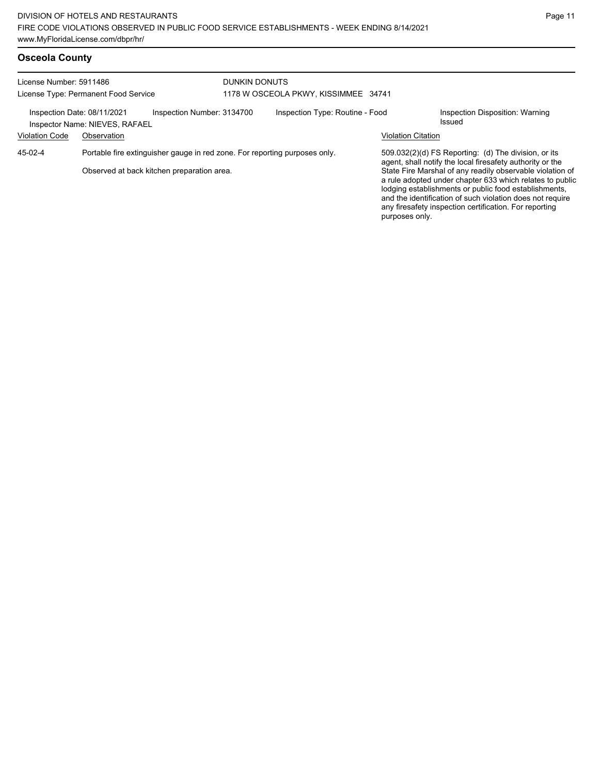| License Number: 5911486<br>License Type: Permanent Food Service |                                                                                                                          | DUNKIN DONUTS<br>1178 W OSCEOLA PKWY, KISSIMMEE 34741 |                           |                                                                                                                                                                                                                                                                                                                                                                                                                            |  |
|-----------------------------------------------------------------|--------------------------------------------------------------------------------------------------------------------------|-------------------------------------------------------|---------------------------|----------------------------------------------------------------------------------------------------------------------------------------------------------------------------------------------------------------------------------------------------------------------------------------------------------------------------------------------------------------------------------------------------------------------------|--|
| Inspection Date: 08/11/2021<br><b>Violation Code</b>            | Inspection Number: 3134700<br>Inspector Name: NIEVES, RAFAEL<br>Observation                                              | Inspection Type: Routine - Food                       | <b>Violation Citation</b> | Inspection Disposition: Warning<br>Issued                                                                                                                                                                                                                                                                                                                                                                                  |  |
| 45-02-4                                                         | Portable fire extinguisher gauge in red zone. For reporting purposes only.<br>Observed at back kitchen preparation area. |                                                       | purposes only.            | 509.032(2)(d) FS Reporting: (d) The division, or its<br>agent, shall notify the local firesafety authority or the<br>State Fire Marshal of any readily observable violation of<br>a rule adopted under chapter 633 which relates to public<br>lodging establishments or public food establishments,<br>and the identification of such violation does not require<br>any firesafety inspection certification. For reporting |  |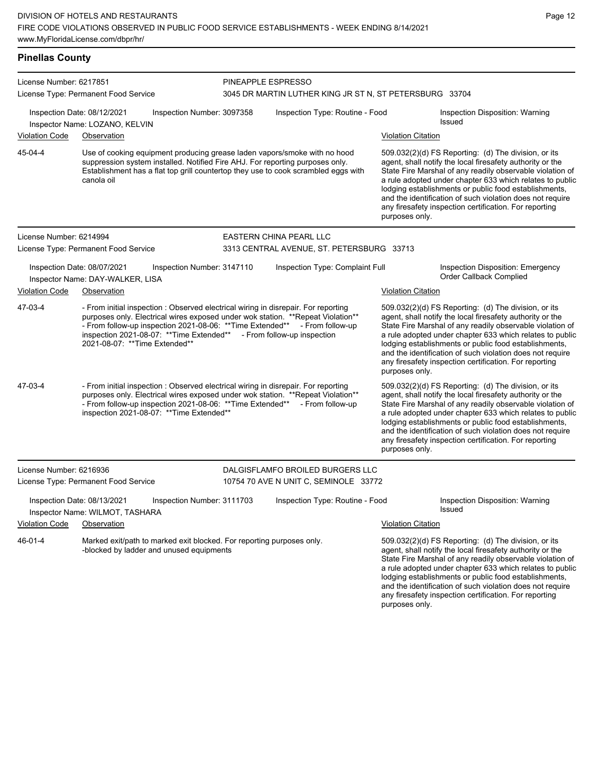# **Pinellas County**

| License Number: 6217851                                                                                                      |                                                                                                                                                                                                                                                                                                                                                                 |                            |                                                                               |                           |                                                                                                                                                                                                                                                                                                                                                                                                                                              |  |  |
|------------------------------------------------------------------------------------------------------------------------------|-----------------------------------------------------------------------------------------------------------------------------------------------------------------------------------------------------------------------------------------------------------------------------------------------------------------------------------------------------------------|----------------------------|-------------------------------------------------------------------------------|---------------------------|----------------------------------------------------------------------------------------------------------------------------------------------------------------------------------------------------------------------------------------------------------------------------------------------------------------------------------------------------------------------------------------------------------------------------------------------|--|--|
|                                                                                                                              | License Type: Permanent Food Service                                                                                                                                                                                                                                                                                                                            |                            | PINEAPPLE ESPRESSO<br>3045 DR MARTIN LUTHER KING JR ST N, ST PETERSBURG 33704 |                           |                                                                                                                                                                                                                                                                                                                                                                                                                                              |  |  |
| <b>Violation Code</b>                                                                                                        | Inspection Date: 08/12/2021<br>Inspector Name: LOZANO, KELVIN<br>Observation                                                                                                                                                                                                                                                                                    | Inspection Number: 3097358 | Inspection Type: Routine - Food                                               | <b>Violation Citation</b> | Inspection Disposition: Warning<br>Issued                                                                                                                                                                                                                                                                                                                                                                                                    |  |  |
|                                                                                                                              |                                                                                                                                                                                                                                                                                                                                                                 |                            |                                                                               |                           |                                                                                                                                                                                                                                                                                                                                                                                                                                              |  |  |
| 45-04-4                                                                                                                      | Use of cooking equipment producing grease laden vapors/smoke with no hood<br>suppression system installed. Notified Fire AHJ. For reporting purposes only.<br>Establishment has a flat top grill countertop they use to cook scrambled eggs with<br>canola oil                                                                                                  |                            |                                                                               | purposes only.            | 509.032(2)(d) FS Reporting: (d) The division, or its<br>agent, shall notify the local firesafety authority or the<br>State Fire Marshal of any readily observable violation of<br>a rule adopted under chapter 633 which relates to public<br>lodging establishments or public food establishments,<br>and the identification of such violation does not require<br>any firesafety inspection certification. For reporting                   |  |  |
| License Number: 6214994                                                                                                      |                                                                                                                                                                                                                                                                                                                                                                 |                            | EASTERN CHINA PEARL LLC                                                       |                           |                                                                                                                                                                                                                                                                                                                                                                                                                                              |  |  |
|                                                                                                                              | License Type: Permanent Food Service                                                                                                                                                                                                                                                                                                                            |                            | 3313 CENTRAL AVENUE, ST. PETERSBURG 33713                                     |                           |                                                                                                                                                                                                                                                                                                                                                                                                                                              |  |  |
|                                                                                                                              | Inspection Date: 08/07/2021<br>Inspector Name: DAY-WALKER, LISA                                                                                                                                                                                                                                                                                                 | Inspection Number: 3147110 | Inspection Type: Complaint Full                                               |                           | Inspection Disposition: Emergency<br>Order Callback Complied                                                                                                                                                                                                                                                                                                                                                                                 |  |  |
| <b>Violation Code</b>                                                                                                        | Observation                                                                                                                                                                                                                                                                                                                                                     |                            |                                                                               |                           | <b>Violation Citation</b>                                                                                                                                                                                                                                                                                                                                                                                                                    |  |  |
| 47-03-4                                                                                                                      | - From initial inspection : Observed electrical wiring in disrepair. For reporting<br>purposes only. Electrical wires exposed under wok station. ** Repeat Violation**<br>- From follow-up inspection 2021-08-06: ** Time Extended** - From follow-up<br>inspection 2021-08-07: ** Time Extended** - From follow-up inspection<br>2021-08-07: **Time Extended** |                            |                                                                               |                           | 509.032(2)(d) FS Reporting: (d) The division, or its<br>agent, shall notify the local firesafety authority or the<br>State Fire Marshal of any readily observable violation of<br>a rule adopted under chapter 633 which relates to public<br>lodging establishments or public food establishments,<br>and the identification of such violation does not require<br>any firesafety inspection certification. For reporting<br>purposes only. |  |  |
| 47-03-4                                                                                                                      | - From initial inspection : Observed electrical wiring in disrepair. For reporting<br>purposes only. Electrical wires exposed under wok station. ** Repeat Violation**<br>- From follow-up inspection 2021-08-06: ** Time Extended**<br>inspection 2021-08-07: ** Time Extended**                                                                               |                            | - From follow-up                                                              | purposes only.            | 509.032(2)(d) FS Reporting: (d) The division, or its<br>agent, shall notify the local firesafety authority or the<br>State Fire Marshal of any readily observable violation of<br>a rule adopted under chapter 633 which relates to public<br>lodging establishments or public food establishments,<br>and the identification of such violation does not require<br>any firesafety inspection certification. For reporting                   |  |  |
| License Number: 6216936                                                                                                      |                                                                                                                                                                                                                                                                                                                                                                 |                            | DALGISFLAMFO BROILED BURGERS LLC                                              |                           |                                                                                                                                                                                                                                                                                                                                                                                                                                              |  |  |
| License Type: Permanent Food Service                                                                                         |                                                                                                                                                                                                                                                                                                                                                                 |                            | 10754 70 AVE N UNIT C, SEMINOLE 33772                                         |                           |                                                                                                                                                                                                                                                                                                                                                                                                                                              |  |  |
|                                                                                                                              | Inspection Date: 08/13/2021<br>Inspector Name: WILMOT, TASHARA                                                                                                                                                                                                                                                                                                  | Inspection Number: 3111703 | Inspection Type: Routine - Food                                               |                           | Inspection Disposition: Warning<br>Issued                                                                                                                                                                                                                                                                                                                                                                                                    |  |  |
| <b>Violation Code</b>                                                                                                        | Observation                                                                                                                                                                                                                                                                                                                                                     |                            |                                                                               | <b>Violation Citation</b> |                                                                                                                                                                                                                                                                                                                                                                                                                                              |  |  |
| 46-01-4<br>Marked exit/path to marked exit blocked. For reporting purposes only.<br>-blocked by ladder and unused equipments |                                                                                                                                                                                                                                                                                                                                                                 |                            |                                                                               |                           | 509.032(2)(d) FS Reporting: (d) The division, or its<br>agent, shall notify the local firesafety authority or the<br>State Fire Marshal of any readily observable violation of<br>a rule adopted under chapter 633 which relates to public<br>lodging establishments or public food establishments,<br>and the identification of such violation does not require<br>any firesafety inspection certification. For reporting                   |  |  |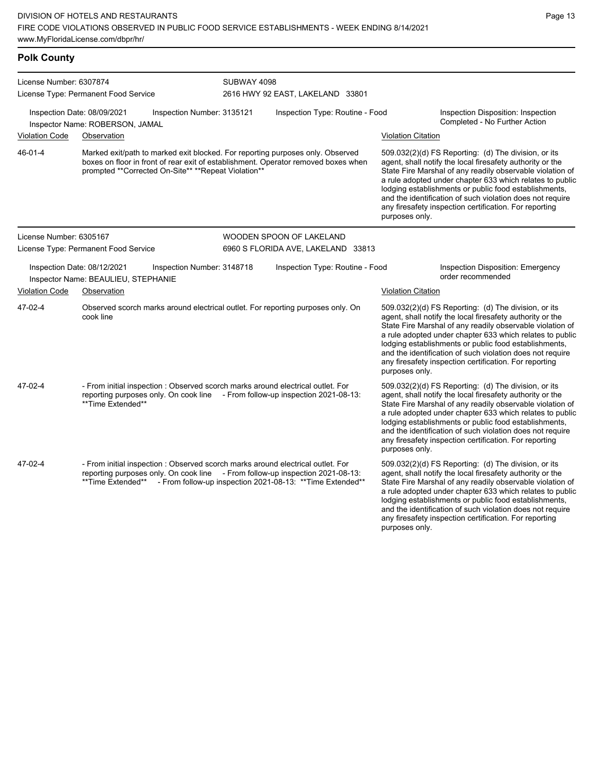| <b>Polk County</b>      |                                                                                                                                                                                                                                                |                                                                                                                                                                                                                                                                                                                                                                                                                                                                                                                                    |                                                                                                                                                                                                                                                                                                                                                                                                                                              |  |  |
|-------------------------|------------------------------------------------------------------------------------------------------------------------------------------------------------------------------------------------------------------------------------------------|------------------------------------------------------------------------------------------------------------------------------------------------------------------------------------------------------------------------------------------------------------------------------------------------------------------------------------------------------------------------------------------------------------------------------------------------------------------------------------------------------------------------------------|----------------------------------------------------------------------------------------------------------------------------------------------------------------------------------------------------------------------------------------------------------------------------------------------------------------------------------------------------------------------------------------------------------------------------------------------|--|--|
| License Number: 6307874 | License Type: Permanent Food Service                                                                                                                                                                                                           | SUBWAY 4098<br>2616 HWY 92 EAST, LAKELAND 33801                                                                                                                                                                                                                                                                                                                                                                                                                                                                                    |                                                                                                                                                                                                                                                                                                                                                                                                                                              |  |  |
|                         | Inspection Date: 08/09/2021<br>Inspection Number: 3135121<br>Inspector Name: ROBERSON, JAMAL                                                                                                                                                   | Inspection Type: Routine - Food                                                                                                                                                                                                                                                                                                                                                                                                                                                                                                    | Inspection Disposition: Inspection<br>Completed - No Further Action                                                                                                                                                                                                                                                                                                                                                                          |  |  |
| <b>Violation Code</b>   | Observation                                                                                                                                                                                                                                    |                                                                                                                                                                                                                                                                                                                                                                                                                                                                                                                                    | <b>Violation Citation</b>                                                                                                                                                                                                                                                                                                                                                                                                                    |  |  |
| 46-01-4                 | Marked exit/path to marked exit blocked. For reporting purposes only. Observed<br>prompted **Corrected On-Site** **Repeat Violation**                                                                                                          | 509.032(2)(d) FS Reporting: (d) The division, or its<br>boxes on floor in front of rear exit of establishment. Operator removed boxes when<br>agent, shall notify the local firesafety authority or the<br>State Fire Marshal of any readily observable violation of<br>a rule adopted under chapter 633 which relates to public<br>lodging establishments or public food establishments,<br>and the identification of such violation does not require<br>any firesafety inspection certification. For reporting<br>purposes only. |                                                                                                                                                                                                                                                                                                                                                                                                                                              |  |  |
| License Number: 6305167 |                                                                                                                                                                                                                                                | WOODEN SPOON OF LAKELAND                                                                                                                                                                                                                                                                                                                                                                                                                                                                                                           |                                                                                                                                                                                                                                                                                                                                                                                                                                              |  |  |
|                         | License Type: Permanent Food Service                                                                                                                                                                                                           | 6960 S FLORIDA AVE, LAKELAND 33813                                                                                                                                                                                                                                                                                                                                                                                                                                                                                                 |                                                                                                                                                                                                                                                                                                                                                                                                                                              |  |  |
|                         | Inspection Date: 08/12/2021<br>Inspection Number: 3148718<br>Inspector Name: BEAULIEU, STEPHANIE                                                                                                                                               | Inspection Type: Routine - Food                                                                                                                                                                                                                                                                                                                                                                                                                                                                                                    | Inspection Disposition: Emergency<br>order recommended                                                                                                                                                                                                                                                                                                                                                                                       |  |  |
| <b>Violation Code</b>   | Observation                                                                                                                                                                                                                                    |                                                                                                                                                                                                                                                                                                                                                                                                                                                                                                                                    | <b>Violation Citation</b>                                                                                                                                                                                                                                                                                                                                                                                                                    |  |  |
| 47-02-4                 | Observed scorch marks around electrical outlet. For reporting purposes only. On<br>cook line                                                                                                                                                   |                                                                                                                                                                                                                                                                                                                                                                                                                                                                                                                                    | 509.032(2)(d) FS Reporting: (d) The division, or its<br>agent, shall notify the local firesafety authority or the<br>State Fire Marshal of any readily observable violation of<br>a rule adopted under chapter 633 which relates to public<br>lodging establishments or public food establishments,<br>and the identification of such violation does not require<br>any firesafety inspection certification. For reporting<br>purposes only. |  |  |
| 47-02-4                 | - From initial inspection : Observed scorch marks around electrical outlet. For<br>reporting purposes only. On cook line - From follow-up inspection 2021-08-13:<br>**Time Extended**                                                          |                                                                                                                                                                                                                                                                                                                                                                                                                                                                                                                                    | 509.032(2)(d) FS Reporting: (d) The division, or its<br>agent, shall notify the local firesafety authority or the<br>State Fire Marshal of any readily observable violation of<br>a rule adopted under chapter 633 which relates to public<br>lodging establishments or public food establishments,<br>and the identification of such violation does not require<br>any firesafety inspection certification. For reporting<br>purposes only. |  |  |
| 47-02-4                 | - From initial inspection: Observed scorch marks around electrical outlet. For<br>reporting purposes only. On cook line - From follow-up inspection 2021-08-13:<br>**Time Extended** - From follow-up inspection 2021-08-13: **Time Extended** |                                                                                                                                                                                                                                                                                                                                                                                                                                                                                                                                    | 509.032(2)(d) FS Reporting: (d) The division, or its<br>agent, shall notify the local firesafety authority or the<br>State Fire Marshal of any readily observable violation of<br>a rule adopted under chapter 633 which relates to public<br>lodging establishments or public food establishments,<br>and the identification of such violation does not require<br>any firesafety inspection certification. For reporting<br>purposes only. |  |  |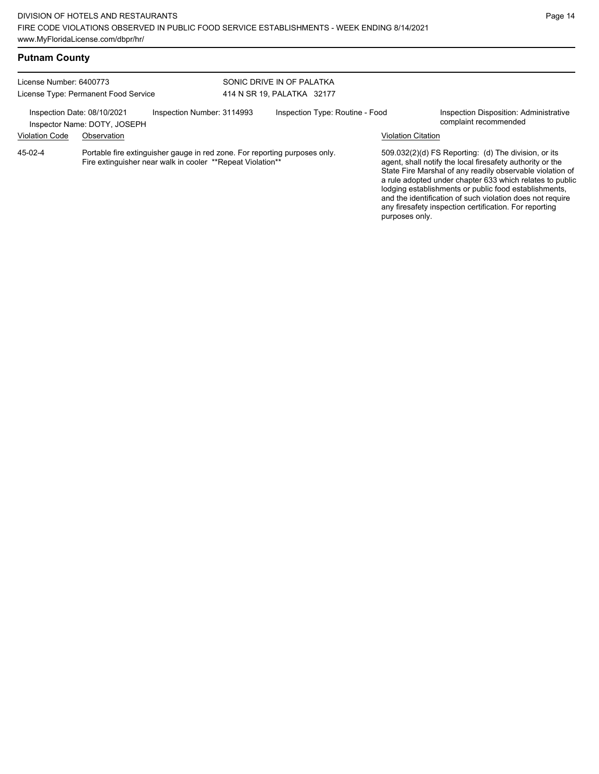## **Putnam County**

| License Number: 6400773<br>License Type: Permanent Food Service                           |                                                                                                                                          |  | SONIC DRIVE IN OF PALATKA<br>414 N SR 19, PALATKA 32177 |                                                                                                                                                                                                                                                                                                                                                                                                                                              |                                                                 |  |
|-------------------------------------------------------------------------------------------|------------------------------------------------------------------------------------------------------------------------------------------|--|---------------------------------------------------------|----------------------------------------------------------------------------------------------------------------------------------------------------------------------------------------------------------------------------------------------------------------------------------------------------------------------------------------------------------------------------------------------------------------------------------------------|-----------------------------------------------------------------|--|
| Inspection Date: 08/10/2021<br>Inspection Number: 3114993<br>Inspector Name: DOTY, JOSEPH |                                                                                                                                          |  | Inspection Type: Routine - Food                         |                                                                                                                                                                                                                                                                                                                                                                                                                                              | Inspection Disposition: Administrative<br>complaint recommended |  |
| <b>Violation Code</b>                                                                     | Observation                                                                                                                              |  |                                                         |                                                                                                                                                                                                                                                                                                                                                                                                                                              | <b>Violation Citation</b>                                       |  |
| 45-02-4                                                                                   | Portable fire extinguisher gauge in red zone. For reporting purposes only.<br>Fire extinguisher near walk in cooler **Repeat Violation** |  |                                                         | 509.032(2)(d) FS Reporting: (d) The division, or its<br>agent, shall notify the local firesafety authority or the<br>State Fire Marshal of any readily observable violation of<br>a rule adopted under chapter 633 which relates to public<br>lodging establishments or public food establishments,<br>and the identification of such violation does not require<br>any firesafety inspection certification. For reporting<br>purposes only. |                                                                 |  |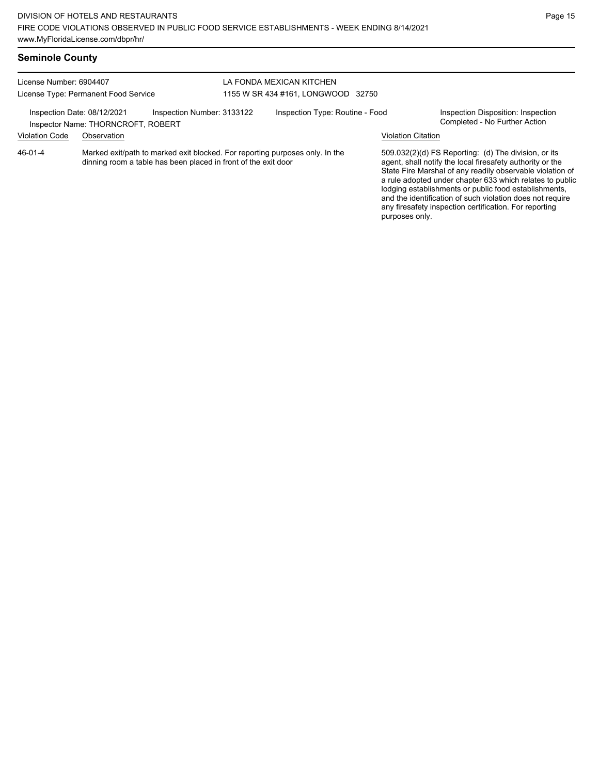| <b>Seminole County</b> |  |
|------------------------|--|
|------------------------|--|

### License Number: 6904407 License Type: Permanent Food Service LA FONDA MEXICAN KITCHEN 1155 W SR 434 #161, LONGWOOD 32750 Inspection Date: 08/12/2021 Inspection Number: 3133122 Inspection Type: Routine - Food Inspection Disposition: Inspection<br>Inspector Name: THORNCROFT ROBERT Inspector Name: THORNCROFT, ROBERT Violation Code Observation Violation Citation Marked exit/path to marked exit blocked. For reporting purposes only. In the dinning room a table has been placed in front of the exit door 509.032(2)(d) FS Reporting: (d) The division, or its agent, shall notify the local firesafety authority or the State Fire Marshal of any readily observable violation of a rule adopted under chapter 633 which relates to public lodging establishments or public food establishments, and the identification of such violation does not require any firesafety inspection certification. For reporting 46-01-4